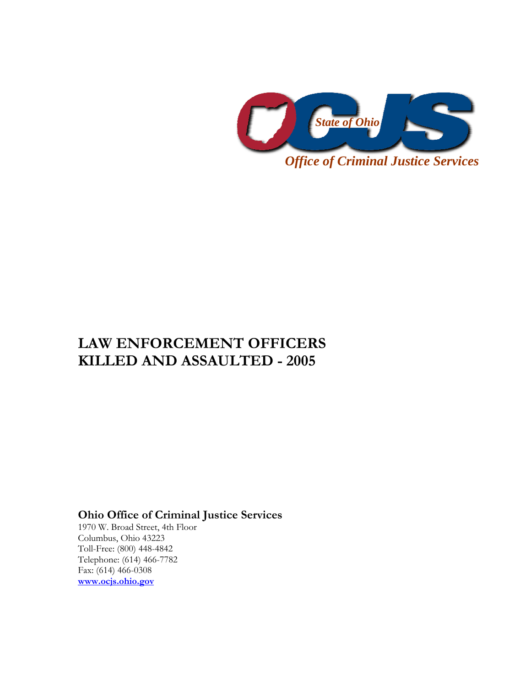

# **LAW ENFORCEMENT OFFICERS KILLED AND ASSAULTED - 2005**

## **Ohio Office of Criminal Justice Services**

1970 W. Broad Street, 4th Floor Columbus, Ohio 43223 Toll-Free: (800) 448-4842 Telephone: (614) 466-7782 Fax: (614) 466-0308 **www.ocjs.ohio.gov**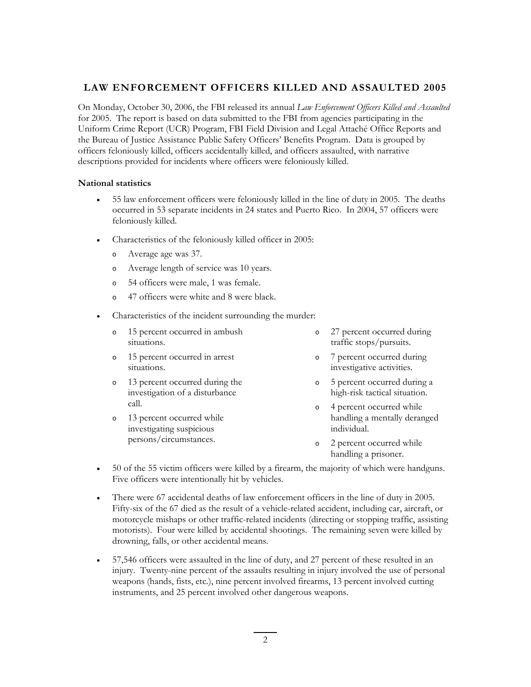### **LAW ENFORCEMENT OFFICERS KILLED AND ASSAULTED 2005**

On Monday, October 30, 2006, the FBI released its annual *Law Enforcement Officers Killed and Assaulted*  for 2005. The report is based on data submitted to the FBI from agencies participating in the Uniform Crime Report (UCR) Program, FBI Field Division and Legal Attaché Office Reports and the Bureau of Justice Assistance Public Safety Officers' Benefits Program. Data is grouped by officers feloniously killed, officers accidentally killed, and officers assaulted, with narrative descriptions provided for incidents where officers were feloniously killed.

#### **National statistics**

- 55 law enforcement officers were feloniously killed in the line of duty in 2005. The deaths occurred in 53 separate incidents in 24 states and Puerto Rico. In 2004, 57 officers were feloniously killed.
- Characteristics of the feloniously killed officer in 2005:
	- o Average age was 37.
	- o Average length of service was 10 years.
	- o 54 officers were male, 1 was female.
	- o 47 officers were white and 8 were black.
- Characteristics of the incident surrounding the murder:
	- o 15 percent occurred in ambush situations. o 27 percent occurred during traffic stops/pursuits.
	- o 15 percent occurred in arrest situations. o 7 percent occurred during investigative activities.
	- 13 percent occurred during the investigation of a disturbance call. o 5 percent occurred during a high-risk tactical situation. o 4 percent occurred while
	- o 13 percent occurred while investigating suspicious persons/circumstances.
- handling a mentally deranged
- o 2 percent occurred while handling a prisoner.

individual.

- 50 of the 55 victim officers were killed by a firearm, the majority of which were handguns. Five officers were intentionally hit by vehicles.
- There were 67 accidental deaths of law enforcement officers in the line of duty in 2005. Fifty-six of the 67 died as the result of a vehicle-related accident, including car, aircraft, or motorcycle mishaps or other traffic-related incidents (directing or stopping traffic, assisting motorists). Four were killed by accidental shootings. The remaining seven were killed by drowning, falls, or other accidental means.
- 57,546 officers were assaulted in the line of duty, and 27 percent of these resulted in an injury. Twenty-nine percent of the assaults resulting in injury involved the use of personal weapons (hands, fists, etc.), nine percent involved firearms, 13 percent involved cutting instruments, and 25 percent involved other dangerous weapons.